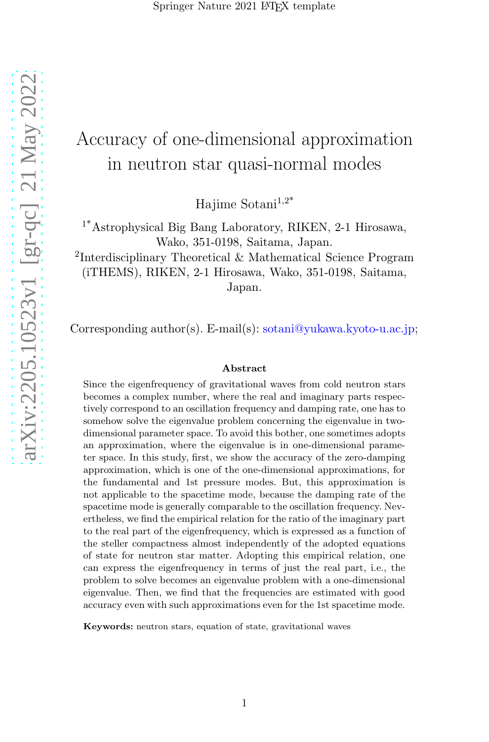# Accuracy of one-dimensional approximation in neutron star quasi-normal modes

Hajime Sotani $1,2^*$ 

1\*Astrophysical Big Bang Laboratory, RIKEN, 2-1 Hirosawa, Wako, 351-0198, Saitama, Japan.

<sup>2</sup>Interdisciplinary Theoretical & Mathematical Science Program (iTHEMS), RIKEN, 2-1 Hirosawa, Wako, 351-0198, Saitama, Japan.

Corresponding author(s). E-mail(s): sotani@yukawa.kyoto-u.ac.jp;

#### Abstract

Since the eigenfrequency of gravitational waves from cold neutron stars becomes a complex number, where the real and imaginary parts respectively correspond to an oscillation frequency and damping rate, one has to somehow solve the eigenvalue problem concerning the eigenvalue in twodimensional parameter space. To avoid this bother, one sometimes adopts an approximation, where the eigenvalue is in one-dimensional parameter space. In this study, first, we show the accuracy of the zero-damping approximation, which is one of the one-dimensional approximations, for the fundamental and 1st pressure modes. But, this approximation is not applicable to the spacetime mode, because the damping rate of the spacetime mode is generally comparable to the oscillation frequency. Nevertheless, we find the empirical relation for the ratio of the imaginary part to the real part of the eigenfrequency, which is expressed as a function of the steller compactness almost independently of the adopted equations of state for neutron star matter. Adopting this empirical relation, one can express the eigenfrequency in terms of just the real part, i.e., the problem to solve becomes an eigenvalue problem with a one-dimensional eigenvalue. Then, we find that the frequencies are estimated with good accuracy even with such approximations even for the 1st spacetime mode.

Keywords: neutron stars, equation of state, gravitational waves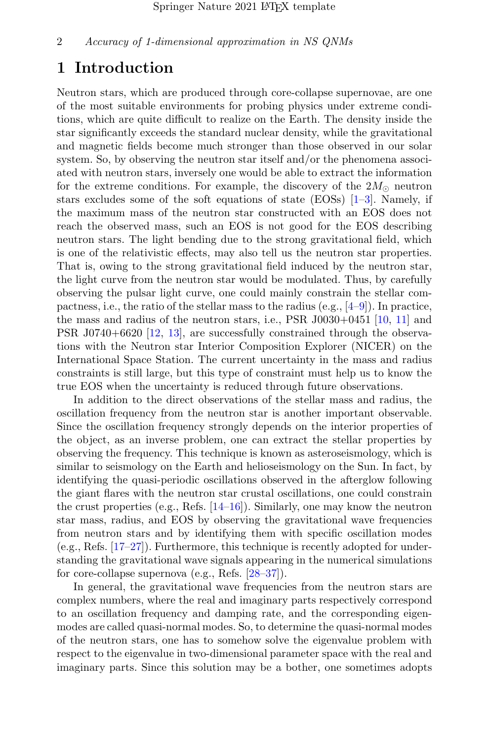### 1 Introduction

Neutron stars, which are produced through core-collapse supernovae, are one of the most suitable environments for probing physics under extreme conditions, which are quite difficult to realize on the Earth. The density inside the star significantly exceeds the standard nuclear density, while the gravitational and magnetic fields become much stronger than those observed in our solar system. So, by observing the neutron star itself and/or the phenomena associated with neutron stars, inversely one would be able to extract the information for the extreme conditions. For example, the discovery of the  $2M_{\odot}$  neutron stars excludes some of the soft equations of state  $(EOS)$   $[1-3]$ . Namely, if the maximum mass of the neutron star constructed with an EOS does not reach the observed mass, such an EOS is not good for the EOS describing neutron stars. The light bending due to the strong gravitational field, which is one of the relativistic effects, may also tell us the neutron star properties. That is, owing to the strong gravitational field induced by the neutron star, the light curve from the neutron star would be modulated. Thus, by carefully observing the pulsar light curve, one could mainly constrain the stellar compactness, i.e., the ratio of the stellar mass to the radius (e.g.,  $[4-9]$ ). In practice, the mass and radius of the neutron stars, i.e.,  $PSR$  J0030+0451 [\[10](#page-11-4), [11\]](#page-11-5) and PSR J0740+6620 [\[12](#page-12-0), [13](#page-12-1)], are successfully constrained through the observations with the Neutron star Interior Composition Explorer (NICER) on the International Space Station. The current uncertainty in the mass and radius constraints is still large, but this type of constraint must help us to know the true EOS when the uncertainty is reduced through future observations.

In addition to the direct observations of the stellar mass and radius, the oscillation frequency from the neutron star is another important observable. Since the oscillation frequency strongly depends on the interior properties of the object, as an inverse problem, one can extract the stellar properties by observing the frequency. This technique is known as asteroseismology, which is similar to seismology on the Earth and helioseismology on the Sun. In fact, by identifying the quasi-periodic oscillations observed in the afterglow following the giant flares with the neutron star crustal oscillations, one could constrain the crust properties (e.g., Refs. [\[14](#page-12-2)[–16](#page-12-3)]). Similarly, one may know the neutron star mass, radius, and EOS by observing the gravitational wave frequencies from neutron stars and by identifying them with specific oscillation modes (e.g., Refs. [\[17](#page-12-4)[–27](#page-12-5)]). Furthermore, this technique is recently adopted for understanding the gravitational wave signals appearing in the numerical simulations for core-collapse supernova (e.g., Refs. [\[28](#page-12-6)[–37\]](#page-13-0)).

In general, the gravitational wave frequencies from the neutron stars are complex numbers, where the real and imaginary parts respectively correspond to an oscillation frequency and damping rate, and the corresponding eigenmodes are called quasi-normal modes. So, to determine the quasi-normal modes of the neutron stars, one has to somehow solve the eigenvalue problem with respect to the eigenvalue in two-dimensional parameter space with the real and imaginary parts. Since this solution may be a bother, one sometimes adopts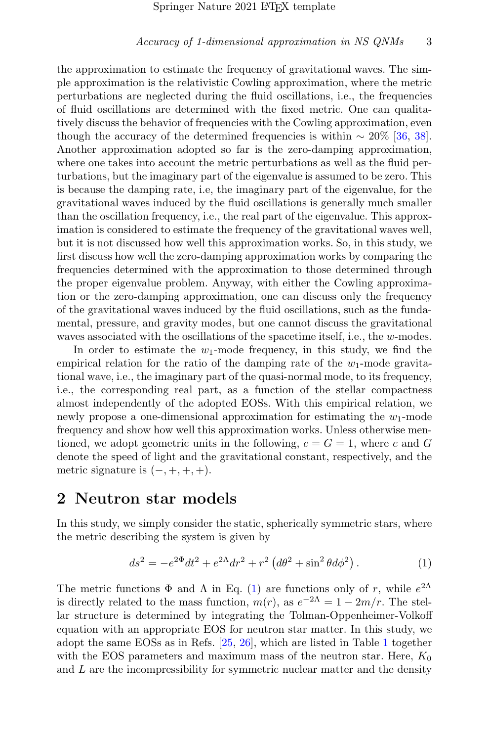the approximation to estimate the frequency of gravitational waves. The simple approximation is the relativistic Cowling approximation, where the metric perturbations are neglected during the fluid oscillations, i.e., the frequencies of fluid oscillations are determined with the fixed metric. One can qualitatively discuss the behavior of frequencies with the Cowling approximation, even though the accuracy of the determined frequencies is within  $\sim 20\%$  [\[36](#page-13-1), [38\]](#page-13-2). Another approximation adopted so far is the zero-damping approximation, where one takes into account the metric perturbations as well as the fluid perturbations, but the imaginary part of the eigenvalue is assumed to be zero. This is because the damping rate, i.e, the imaginary part of the eigenvalue, for the gravitational waves induced by the fluid oscillations is generally much smaller than the oscillation frequency, i.e., the real part of the eigenvalue. This approximation is considered to estimate the frequency of the gravitational waves well, but it is not discussed how well this approximation works. So, in this study, we first discuss how well the zero-damping approximation works by comparing the frequencies determined with the approximation to those determined through the proper eigenvalue problem. Anyway, with either the Cowling approximation or the zero-damping approximation, one can discuss only the frequency of the gravitational waves induced by the fluid oscillations, such as the fundamental, pressure, and gravity modes, but one cannot discuss the gravitational waves associated with the oscillations of the spacetime itself, i.e., the w-modes.

In order to estimate the  $w_1$ -mode frequency, in this study, we find the empirical relation for the ratio of the damping rate of the  $w_1$ -mode gravitational wave, i.e., the imaginary part of the quasi-normal mode, to its frequency, i.e., the corresponding real part, as a function of the stellar compactness almost independently of the adopted EOSs. With this empirical relation, we newly propose a one-dimensional approximation for estimating the  $w_1$ -mode frequency and show how well this approximation works. Unless otherwise mentioned, we adopt geometric units in the following,  $c = G = 1$ , where c and G denote the speed of light and the gravitational constant, respectively, and the metric signature is  $(-, +, +, +)$ .

### 2 Neutron star models

In this study, we simply consider the static, spherically symmetric stars, where the metric describing the system is given by

<span id="page-2-0"></span>
$$
ds^{2} = -e^{2\Phi}dt^{2} + e^{2\Lambda}dr^{2} + r^{2} \left(d\theta^{2} + \sin^{2}\theta d\phi^{2}\right).
$$
 (1)

The metric functions  $\Phi$  and  $\Lambda$  in Eq. [\(1\)](#page-2-0) are functions only of r, while  $e^{2\Lambda}$ is directly related to the mass function,  $m(r)$ , as  $e^{-2\Lambda} = 1 - 2m/r$ . The stellar structure is determined by integrating the Tolman-Oppenheimer-Volkoff equation with an appropriate EOS for neutron star matter. In this study, we adopt the same EOSs as in Refs. [\[25](#page-12-7), [26](#page-12-8)], which are listed in Table [1](#page-3-0) together with the EOS parameters and maximum mass of the neutron star. Here,  $K_0$ and  $L$  are the incompressibility for symmetric nuclear matter and the density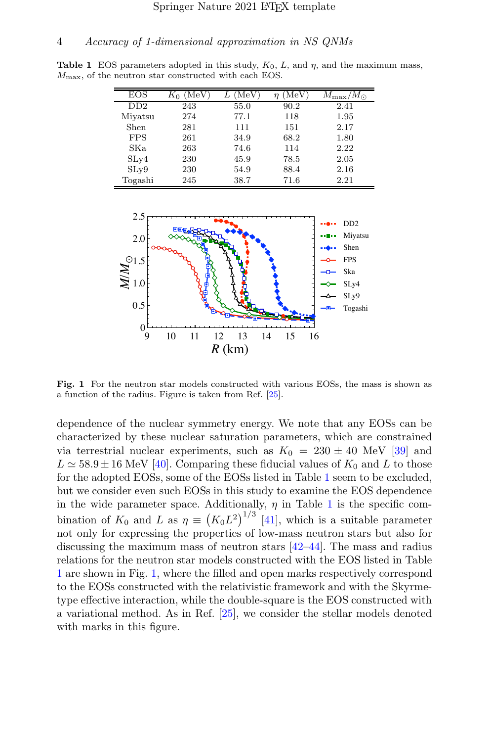**Table 1** EOS parameters adopted in this study,  $K_0$ , L, and  $\eta$ , and the maximum mass,  $M_{\text{max}}$ , of the neutron star constructed with each EOS.

<span id="page-3-0"></span>

| EOS        | $M_{\rm eV}$ | $'$ Me $\overline{V}$ | MeV  | $M_{\rm max}/M_{\odot}$ |
|------------|--------------|-----------------------|------|-------------------------|
| DD2        | 243          | 55.0                  | 90.2 | 2.41                    |
| Miyatsu    | 274          | 77.1                  | 118  | 1.95                    |
| Shen       | 281          | 111                   | 151  | 2.17                    |
| <b>FPS</b> | 261          | 34.9                  | 68.2 | 1.80                    |
| SKa        | 263          | 74.6                  | 114  | 2.22                    |
| SLy4       | 230          | 45.9                  | 78.5 | 2.05                    |
| SLv9       | 230          | 54.9                  | 88.4 | 2.16                    |
| Togashi    | 245          | 38.7                  | 71.6 | 2.21                    |



<span id="page-3-1"></span>Fig. 1 For the neutron star models constructed with various EOSs, the mass is shown as a function of the radius. Figure is taken from Ref. [\[25](#page-12-7)].

dependence of the nuclear symmetry energy. We note that any EOSs can be characterized by these nuclear saturation parameters, which are constrained via terrestrial nuclear experiments, such as  $K_0 = 230 \pm 40$  MeV [\[39\]](#page-13-3) and  $L \approx 58.9 \pm 16$  MeV [\[40](#page-13-4)]. Comparing these fiducial values of  $K_0$  and L to those for the adopted EOSs, some of the EOSs listed in Table [1](#page-3-0) seem to be excluded, but we consider even such EOSs in this study to examine the EOS dependence in the wide parameter space. Additionally,  $\eta$  in Table [1](#page-3-0) is the specific combination of  $K_0$  and  $L$  as  $\eta \equiv (K_0 L^2)^{1/3}$  [\[41\]](#page-13-5), which is a suitable parameter not only for expressing the properties of low-mass neutron stars but also for discussing the maximum mass of neutron stars [\[42](#page-13-6)[–44\]](#page-13-7). The mass and radius relations for the neutron star models constructed with the EOS listed in Table [1](#page-3-0) are shown in Fig. [1,](#page-3-1) where the filled and open marks respectively correspond to the EOSs constructed with the relativistic framework and with the Skyrmetype effective interaction, while the double-square is the EOS constructed with a variational method. As in Ref. [\[25\]](#page-12-7), we consider the stellar models denoted with marks in this figure.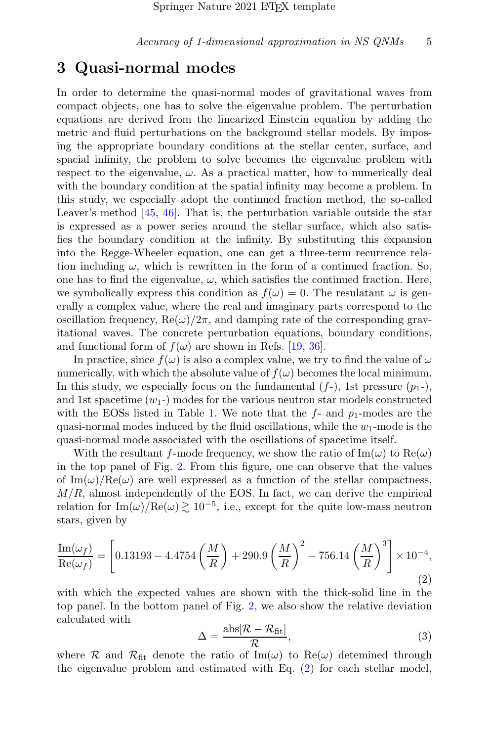### 3 Quasi-normal modes

In order to determine the quasi-normal modes of gravitational waves from compact objects, one has to solve the eigenvalue problem. The perturbation equations are derived from the linearized Einstein equation by adding the metric and fluid perturbations on the background stellar models. By imposing the appropriate boundary conditions at the stellar center, surface, and spacial infinity, the problem to solve becomes the eigenvalue problem with respect to the eigenvalue,  $\omega$ . As a practical matter, how to numerically deal with the boundary condition at the spatial infinity may become a problem. In this study, we especially adopt the continued fraction method, the so-called Leaver's method [\[45,](#page-13-8) [46](#page-13-9)]. That is, the perturbation variable outside the star is expressed as a power series around the stellar surface, which also satisfies the boundary condition at the infinity. By substituting this expansion into the Regge-Wheeler equation, one can get a three-term recurrence relation including  $\omega$ , which is rewritten in the form of a continued fraction. So, one has to find the eigenvalue,  $\omega$ , which satisfies the continued fraction. Here, we symbolically express this condition as  $f(\omega) = 0$ . The resulatant  $\omega$  is generally a complex value, where the real and imaginary parts correspond to the oscillation frequency,  $\text{Re}(\omega)/2\pi$ , and damping rate of the corresponding gravitational waves. The concrete perturbation equations, boundary conditions, and functional form of  $f(\omega)$  are shown in Refs. [\[19,](#page-12-9) [36\]](#page-13-1).

In practice, since  $f(\omega)$  is also a complex value, we try to find the value of  $\omega$ numerically, with which the absolute value of  $f(\omega)$  becomes the local minimum. In this study, we especially focus on the fundamental  $(f<sub>-</sub>)$ , 1st pressure  $(p<sub>1</sub>$ -), and 1st spacetime  $(w_1)$  modes for the various neutron star models constructed with the EOSs listed in Table [1.](#page-3-0) We note that the  $f$ - and  $p_1$ -modes are the quasi-normal modes induced by the fluid oscillations, while the  $w_1$ -mode is the quasi-normal mode associated with the oscillations of spacetime itself.

With the resultant f-mode frequency, we show the ratio of  $\text{Im}(\omega)$  to  $\text{Re}(\omega)$ in the top panel of Fig. [2.](#page-5-0) From this figure, one can observe that the values of Im( $\omega$ )/Re( $\omega$ ) are well expressed as a function of the stellar compactness,  $M/R$ , almost independently of the EOS. In fact, we can derive the empirical relation for  $\text{Im}(\omega)$ /Re $(\omega) \gtrsim 10^{-5}$ , i.e., except for the quite low-mass neutron stars, given by

<span id="page-4-0"></span>
$$
\frac{\text{Im}(\omega_f)}{\text{Re}(\omega_f)} = \left[0.13193 - 4.4754\left(\frac{M}{R}\right) + 290.9\left(\frac{M}{R}\right)^2 - 756.14\left(\frac{M}{R}\right)^3\right] \times 10^{-4},\tag{2}
$$

with which the expected values are shown with the thick-solid line in the top panel. In the bottom panel of Fig. [2,](#page-5-0) we also show the relative deviation calculated with

<span id="page-4-1"></span>
$$
\Delta = \frac{\text{abs}[\mathcal{R} - \mathcal{R}_{\text{fit}}]}{\mathcal{R}},\tag{3}
$$

where R and  $\mathcal{R}_{\text{fit}}$  denote the ratio of Im( $\omega$ ) to Re( $\omega$ ) detemined through the eigenvalue problem and estimated with Eq. [\(2\)](#page-4-0) for each stellar model,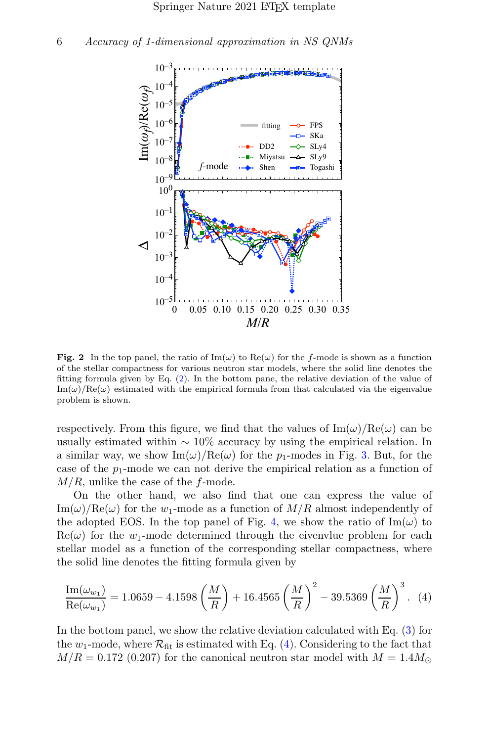

<span id="page-5-0"></span>**Fig. 2** In the top panel, the ratio of Im( $\omega$ ) to Re( $\omega$ ) for the f-mode is shown as a function of the stellar compactness for various neutron star models, where the solid line denotes the fitting formula given by Eq. [\(2\)](#page-4-0). In the bottom pane, the relative deviation of the value of  $\text{Im}(\omega)/\text{Re}(\omega)$  estimated with the empirical formula from that calculated via the eigenvalue problem is shown.

respectively. From this figure, we find that the values of  $\text{Im}(\omega)/\text{Re}(\omega)$  can be usually estimated within  $\sim 10\%$  accuracy by using the empirical relation. In a similar way, we show  $\text{Im}(\omega)/\text{Re}(\omega)$  for the  $p_1$ -modes in Fig. [3.](#page-6-0) But, for the case of the  $p_1$ -mode we can not derive the empirical relation as a function of  $M/R$ , unlike the case of the f-mode.

On the other hand, we also find that one can express the value of  $\text{Im}(\omega)/\text{Re}(\omega)$  for the  $w_1$ -mode as a function of  $M/R$  almost independently of the adopted EOS. In the top panel of Fig. [4,](#page-7-0) we show the ratio of  $\text{Im}(\omega)$  to  $\text{Re}(\omega)$  for the  $w_1$ -mode determined through the eivenvlue problem for each stellar model as a function of the corresponding stellar compactness, where the solid line denotes the fitting formula given by

<span id="page-5-1"></span>
$$
\frac{\text{Im}(\omega_{w_1})}{\text{Re}(\omega_{w_1})} = 1.0659 - 4.1598 \left(\frac{M}{R}\right) + 16.4565 \left(\frac{M}{R}\right)^2 - 39.5369 \left(\frac{M}{R}\right)^3. (4)
$$

In the bottom panel, we show the relative deviation calculated with Eq. [\(3\)](#page-4-1) for the  $w_1$ -mode, where  $\mathcal{R}_{\text{fit}}$  is estimated with Eq. [\(4\)](#page-5-1). Considering to the fact that  $M/R = 0.172$  (0.207) for the canonical neutron star model with  $M = 1.4 M_{\odot}$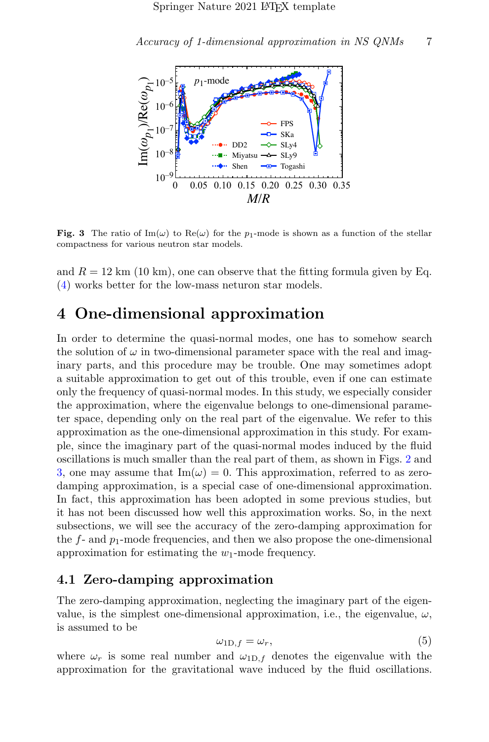

<span id="page-6-0"></span>Fig. 3 The ratio of Im( $\omega$ ) to Re( $\omega$ ) for the p<sub>1</sub>-mode is shown as a function of the stellar compactness for various neutron star models.

and  $R = 12 \text{ km } (10 \text{ km})$ , one can observe that the fitting formula given by Eq. [\(4\)](#page-5-1) works better for the low-mass neturon star models.

# 4 One-dimensional approximation

In order to determine the quasi-normal modes, one has to somehow search the solution of  $\omega$  in two-dimensional parameter space with the real and imaginary parts, and this procedure may be trouble. One may sometimes adopt a suitable approximation to get out of this trouble, even if one can estimate only the frequency of quasi-normal modes. In this study, we especially consider the approximation, where the eigenvalue belongs to one-dimensional parameter space, depending only on the real part of the eigenvalue. We refer to this approximation as the one-dimensional approximation in this study. For example, since the imaginary part of the quasi-normal modes induced by the fluid oscillations is much smaller than the real part of them, as shown in Figs. [2](#page-5-0) and [3,](#page-6-0) one may assume that  $\text{Im}(\omega) = 0$ . This approximation, referred to as zerodamping approximation, is a special case of one-dimensional approximation. In fact, this approximation has been adopted in some previous studies, but it has not been discussed how well this approximation works. So, in the next subsections, we will see the accuracy of the zero-damping approximation for the  $f$ - and  $p_1$ -mode frequencies, and then we also propose the one-dimensional approximation for estimating the  $w_1$ -mode frequency.

### 4.1 Zero-damping approximation

The zero-damping approximation, neglecting the imaginary part of the eigenvalue, is the simplest one-dimensional approximation, i.e., the eigenvalue,  $\omega$ , is assumed to be

$$
\omega_{1D,f} = \omega_r,\tag{5}
$$

where  $\omega_r$  is some real number and  $\omega_{1D,f}$  denotes the eigenvalue with the approximation for the gravitational wave induced by the fluid oscillations.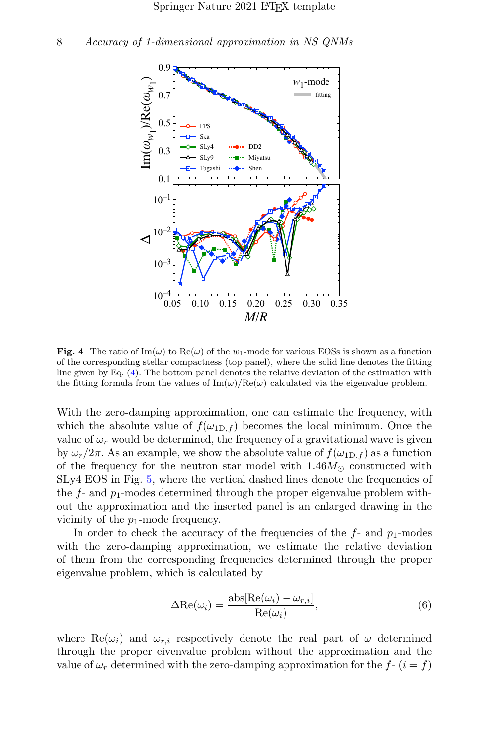

<span id="page-7-0"></span>**Fig. 4** The ratio of Im( $\omega$ ) to Re( $\omega$ ) of the  $w_1$ -mode for various EOSs is shown as a function of the corresponding stellar compactness (top panel), where the solid line denotes the fitting line given by Eq. [\(4\)](#page-5-1). The bottom panel denotes the relative deviation of the estimation with the fitting formula from the values of  $\text{Im}(\omega)/\text{Re}(\omega)$  calculated via the eigenvalue problem.

With the zero-damping approximation, one can estimate the frequency, with which the absolute value of  $f(\omega_{1D,f})$  becomes the local minimum. Once the value of  $\omega_r$  would be determined, the frequency of a gravitational wave is given by  $\omega_r/2\pi$ . As an example, we show the absolute value of  $f(\omega_{1D,f})$  as a function of the frequency for the neutron star model with  $1.46M_{\odot}$  constructed with SLy4 EOS in Fig. [5,](#page-8-0) where the vertical dashed lines denote the frequencies of the  $f$ - and  $p_1$ -modes determined through the proper eigenvalue problem without the approximation and the inserted panel is an enlarged drawing in the vicinity of the  $p_1$ -mode frequency.

In order to check the accuracy of the frequencies of the  $f$ - and  $p_1$ -modes with the zero-damping approximation, we estimate the relative deviation of them from the corresponding frequencies determined through the proper eigenvalue problem, which is calculated by

<span id="page-7-1"></span>
$$
\Delta \text{Re}(\omega_i) = \frac{\text{abs}[\text{Re}(\omega_i) - \omega_{r,i}]}{\text{Re}(\omega_i)},
$$
\n(6)

where  $\text{Re}(\omega_i)$  and  $\omega_{r,i}$  respectively denote the real part of  $\omega$  determined through the proper eivenvalue problem without the approximation and the value of  $\omega_r$  determined with the zero-damping approximation for the  $f - (i = f)$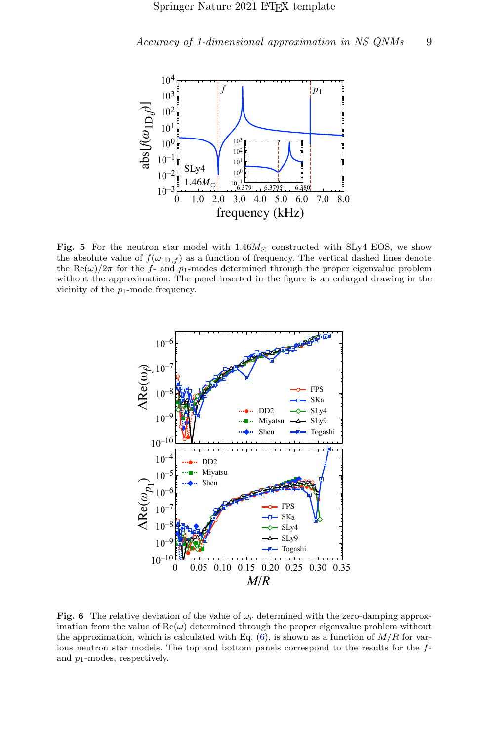

<span id="page-8-0"></span>Fig. 5 For the neutron star model with  $1.46M_{\odot}$  constructed with SLy4 EOS, we show the absolute value of  $f(\omega_{1D,f})$  as a function of frequency. The vertical dashed lines denote the Re( $\omega$ )/2π for the f- and p<sub>1</sub>-modes determined through the proper eigenvalue problem without the approximation. The panel inserted in the figure is an enlarged drawing in the vicinity of the  $p_1$ -mode frequency.



<span id="page-8-1"></span>Fig. 6 The relative deviation of the value of  $\omega_r$  determined with the zero-damping approximation from the value of  $\text{Re}(\omega)$  determined through the proper eigenvalue problem without the approximation, which is calculated with Eq.  $(6)$ , is shown as a function of  $M/R$  for various neutron star models. The top and bottom panels correspond to the results for the fand p1-modes, respectively.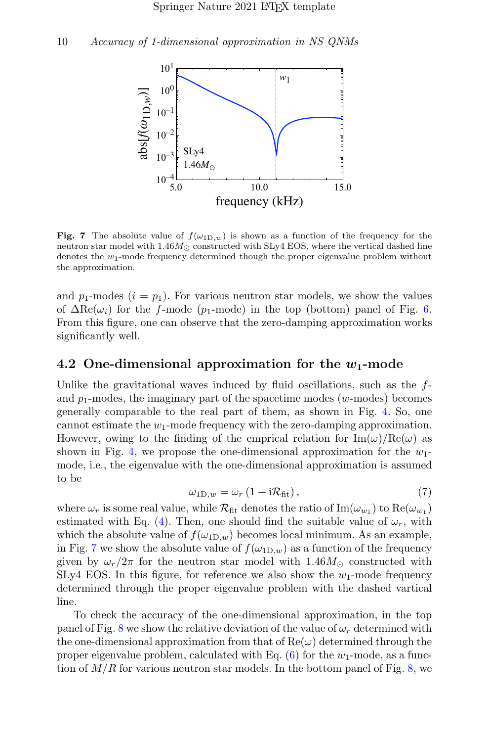

<span id="page-9-0"></span>Fig. 7 The absolute value of  $f(\omega_{1D,w})$  is shown as a function of the frequency for the neutron star model with  $1.46M_{\odot}$  constructed with SLy4 EOS, where the vertical dashed line denotes the  $w_1$ -mode frequency determined though the proper eigenvalue problem without the approximation.

and  $p_1$ -modes  $(i = p_1)$ . For various neutron star models, we show the values of  $\Delta \text{Re}(\omega_i)$  for the f-mode (p<sub>1</sub>-mode) in the top (bottom) panel of Fig. [6.](#page-8-1) From this figure, one can observe that the zero-damping approximation works significantly well.

### 4.2 One-dimensional approximation for the  $w_1$ -mode

Unlike the gravitational waves induced by fluid oscillations, such as the  $f$ and  $p_1$ -modes, the imaginary part of the spacetime modes (w-modes) becomes generally comparable to the real part of them, as shown in Fig. [4.](#page-7-0) So, one cannot estimate the  $w_1$ -mode frequency with the zero-damping approximation. However, owing to the finding of the emprical relation for  $\text{Im}(\omega)/\text{Re}(\omega)$  as shown in Fig. [4,](#page-7-0) we propose the one-dimensional approximation for the  $w_1$ mode, i.e., the eigenvalue with the one-dimensional approximation is assumed to be

$$
\omega_{1D,w} = \omega_r \left( 1 + i \mathcal{R}_{\text{fit}} \right),\tag{7}
$$

where  $\omega_r$  is some real value, while  $\mathcal{R}_{\text{fit}}$  denotes the ratio of  $\text{Im}(\omega_{w_1})$  to  $\text{Re}(\omega_{w_1})$ estimated with Eq. [\(4\)](#page-5-1). Then, one should find the suitable value of  $\omega_r$ , with which the absolute value of  $f(\omega_{1D,w})$  becomes local minimum. As an example, in Fig. [7](#page-9-0) we show the absolute value of  $f(\omega_{1D,w})$  as a function of the frequency given by  $\omega_r/2\pi$  for the neutron star model with 1.46 $M_{\odot}$  constructed with SLy4 EOS. In this figure, for reference we also show the  $w_1$ -mode frequency determined through the proper eigenvalue problem with the dashed vartical line.

To check the accuracy of the one-dimensional approximation, in the top panel of Fig. [8](#page-10-0) we show the relative deviation of the value of  $\omega_r$  determined with the one-dimensional approximation from that of  $\text{Re}(\omega)$  determined through the proper eigenvalue problem, calculated with Eq.  $(6)$  for the w<sub>1</sub>-mode, as a function of  $M/R$  for various neutron star models. In the bottom panel of Fig. [8,](#page-10-0) we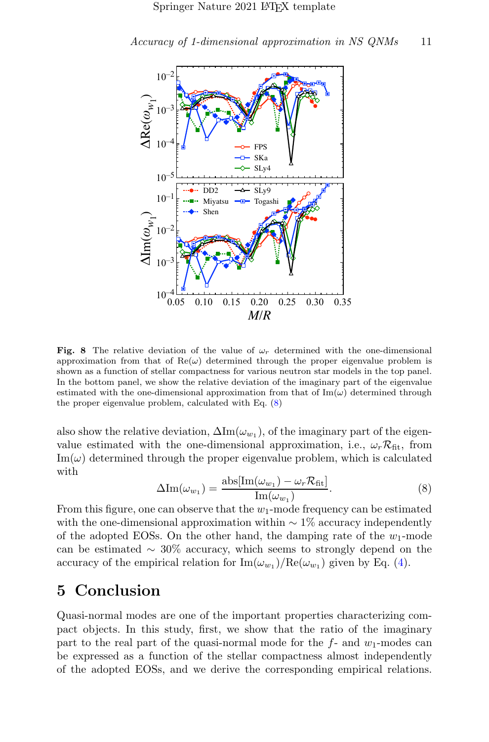

<span id="page-10-0"></span>Fig. 8 The relative deviation of the value of  $\omega_r$  determined with the one-dimensional approximation from that of  $\text{Re}(\omega)$  determined through the proper eigenvalue problem is shown as a function of stellar compactness for various neutron star models in the top panel. In the bottom panel, we show the relative deviation of the imaginary part of the eigenvalue estimated with the one-dimensional approximation from that of  $\text{Im}(\omega)$  determined through the proper eigenvalue problem, calculated with Eq. [\(8\)](#page-10-1)

also show the relative deviation,  $\Delta \text{Im}(\omega_{w_1})$ , of the imaginary part of the eigenvalue estimated with the one-dimensional approximation, i.e.,  $\omega_r \mathcal{R}_{\text{fit}}$ , from  $\text{Im}(\omega)$  determined through the proper eigenvalue problem, which is calculated with

<span id="page-10-1"></span>
$$
\Delta \text{Im}(\omega_{w_1}) = \frac{\text{abs}[\text{Im}(\omega_{w_1}) - \omega_r \mathcal{R}_{\text{fit}}]}{\text{Im}(\omega_{w_1})}.
$$
\n(8)

From this figure, one can observe that the  $w_1$ -mode frequency can be estimated with the one-dimensional approximation within  $\sim 1\%$  accuracy independently of the adopted EOSs. On the other hand, the damping rate of the  $w_1$ -mode can be estimated  $\sim 30\%$  accuracy, which seems to strongly depend on the accuracy of the empirical relation for  $\text{Im}(\omega_{w_1})/\text{Re}(\omega_{w_1})$  given by Eq. [\(4\)](#page-5-1).

# 5 Conclusion

Quasi-normal modes are one of the important properties characterizing compact objects. In this study, first, we show that the ratio of the imaginary part to the real part of the quasi-normal mode for the  $f$ - and  $w_1$ -modes can be expressed as a function of the stellar compactness almost independently of the adopted EOSs, and we derive the corresponding empirical relations.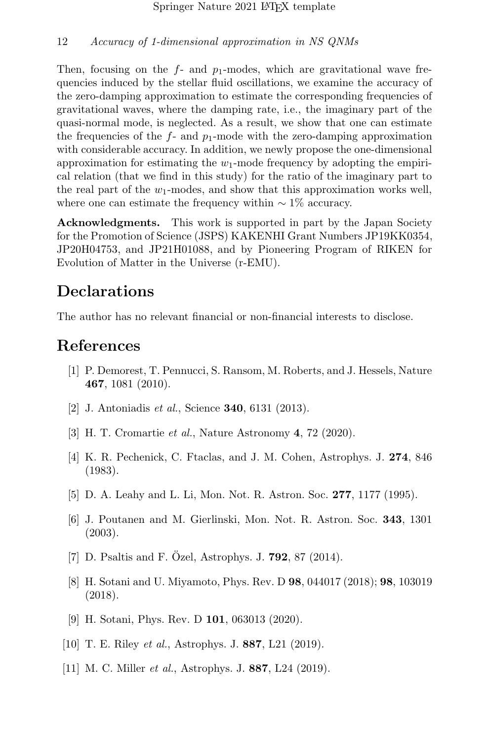Then, focusing on the  $f$ - and  $p_1$ -modes, which are gravitational wave frequencies induced by the stellar fluid oscillations, we examine the accuracy of the zero-damping approximation to estimate the corresponding frequencies of gravitational waves, where the damping rate, i.e., the imaginary part of the quasi-normal mode, is neglected. As a result, we show that one can estimate the frequencies of the  $f$ - and  $p_1$ -mode with the zero-damping approximation with considerable accuracy. In addition, we newly propose the one-dimensional approximation for estimating the  $w_1$ -mode frequency by adopting the empirical relation (that we find in this study) for the ratio of the imaginary part to the real part of the  $w_1$ -modes, and show that this approximation works well, where one can estimate the frequency within  $\sim 1\%$  accuracy.

Acknowledgments. This work is supported in part by the Japan Society for the Promotion of Science (JSPS) KAKENHI Grant Numbers JP19KK0354, JP20H04753, and JP21H01088, and by Pioneering Program of RIKEN for Evolution of Matter in the Universe (r-EMU).

### Declarations

The author has no relevant financial or non-financial interests to disclose.

# References

- <span id="page-11-0"></span>[1] P. Demorest, T. Pennucci, S. Ransom, M. Roberts, and J. Hessels, Nature 467, 1081 (2010).
- [2] J. Antoniadis *et al.*, Science **340**, 6131 (2013).
- <span id="page-11-1"></span>[3] H. T. Cromartie et al., Nature Astronomy 4, 72 (2020).
- <span id="page-11-2"></span>[4] K. R. Pechenick, C. Ftaclas, and J. M. Cohen, Astrophys. J. 274, 846 (1983).
- [5] D. A. Leahy and L. Li, Mon. Not. R. Astron. Soc. 277, 1177 (1995).
- [6] J. Poutanen and M. Gierlinski, Mon. Not. R. Astron. Soc. 343, 1301 (2003).
- [7] D. Psaltis and F. Özel, Astrophys. J.  $792$ , 87 (2014).
- [8] H. Sotani and U. Miyamoto, Phys. Rev. D 98, 044017 (2018); 98, 103019 (2018).
- <span id="page-11-3"></span>[9] H. Sotani, Phys. Rev. D 101, 063013 (2020).
- <span id="page-11-4"></span>[10] T. E. Riley *et al.*, Astrophys. J. **887**, L21 (2019).
- <span id="page-11-5"></span>[11] M. C. Miller *et al.*, Astrophys. J. **887**, L24 (2019).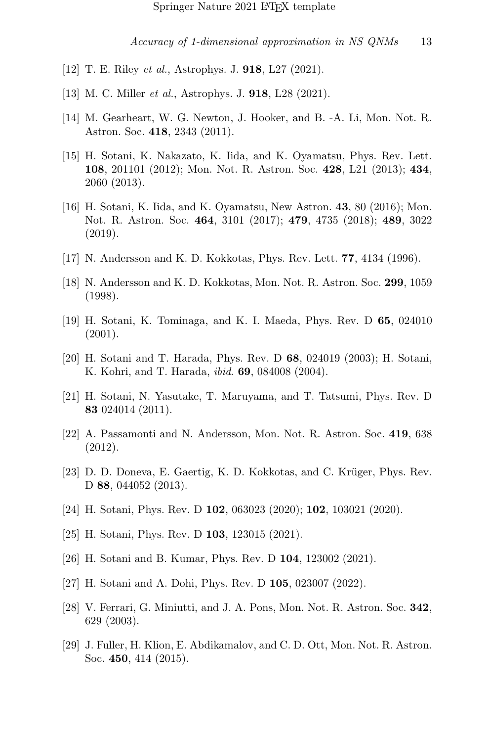- <span id="page-12-0"></span>[12] T. E. Riley *et al.*, Astrophys. J. **918**, L27 (2021).
- <span id="page-12-1"></span>[13] M. C. Miller *et al.*, Astrophys. J. **918**, L28 (2021).
- <span id="page-12-2"></span>[14] M. Gearheart, W. G. Newton, J. Hooker, and B. -A. Li, Mon. Not. R. Astron. Soc. 418, 2343 (2011).
- [15] H. Sotani, K. Nakazato, K. Iida, and K. Oyamatsu, Phys. Rev. Lett. 108, 201101 (2012); Mon. Not. R. Astron. Soc. 428, L21 (2013); 434, 2060 (2013).
- <span id="page-12-3"></span>[16] H. Sotani, K. Iida, and K. Oyamatsu, New Astron. 43, 80 (2016); Mon. Not. R. Astron. Soc. 464, 3101 (2017); 479, 4735 (2018); 489, 3022 (2019).
- <span id="page-12-4"></span>[17] N. Andersson and K. D. Kokkotas, Phys. Rev. Lett. 77, 4134 (1996).
- [18] N. Andersson and K. D. Kokkotas, Mon. Not. R. Astron. Soc. 299, 1059 (1998).
- <span id="page-12-9"></span>[19] H. Sotani, K. Tominaga, and K. I. Maeda, Phys. Rev. D 65, 024010 (2001).
- [20] H. Sotani and T. Harada, Phys. Rev. D 68, 024019 (2003); H. Sotani, K. Kohri, and T. Harada, *ibid.* **69**, 084008 (2004).
- [21] H. Sotani, N. Yasutake, T. Maruyama, and T. Tatsumi, Phys. Rev. D 83 024014 (2011).
- [22] A. Passamonti and N. Andersson, Mon. Not. R. Astron. Soc. 419, 638 (2012).
- [23] D. D. Doneva, E. Gaertig, K. D. Kokkotas, and C. Krüger, Phys. Rev. D 88, 044052 (2013).
- [24] H. Sotani, Phys. Rev. D **102**, 063023 (2020); **102**, 103021 (2020).
- <span id="page-12-7"></span>[25] H. Sotani, Phys. Rev. D **103**, 123015 (2021).
- <span id="page-12-8"></span>[26] H. Sotani and B. Kumar, Phys. Rev. D 104, 123002 (2021).
- <span id="page-12-5"></span>[27] H. Sotani and A. Dohi, Phys. Rev. D 105, 023007 (2022).
- <span id="page-12-6"></span>[28] V. Ferrari, G. Miniutti, and J. A. Pons, Mon. Not. R. Astron. Soc. 342, 629 (2003).
- [29] J. Fuller, H. Klion, E. Abdikamalov, and C. D. Ott, Mon. Not. R. Astron. Soc. 450, 414 (2015).